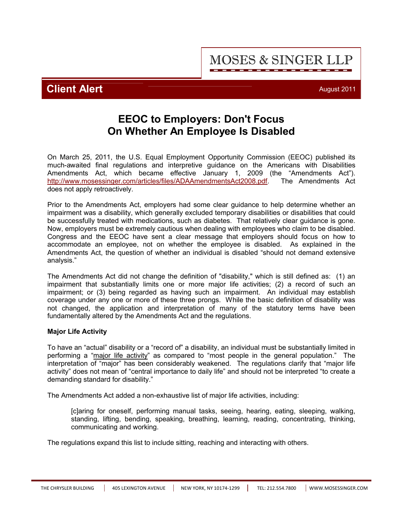#### THE CHRYSLER BUILDING | 405 LEXINGTON AVENUE | NEW YORK, NY 10174-1299 | TEL: 212.554.7800 | <WWW.MOSESSINGER.COM>

**Client Alert** August 2011

**EEOC to Employers: Don't Focus On Whether An Employee Is Disabled**

On March 25, 2011, the U.S. Equal Employment Opportunity Commission (EEOC) published its much-awaited final regulations and interpretive guidance on the Americans with Disabilities Amendments Act, which became effective January 1, 2009 (the "Amendments Act"). [http://](http://www.mosessinger.com/articles/files/ADAAmendmentsAct2008.pdf)<www.mosessinger.com/articles/files/ADAAmendmentsAct2008.pdf>. The Amendments Act does not apply retroactively.

Prior to the Amendments Act, employers had some clear guidance to help determine whether an impairment was a disability, which generally excluded temporary disabilities or disabilities that could be successfully treated with medications, such as diabetes. That relatively clear guidance is gone. Now, employers must be extremely cautious when dealing with employees who claim to be disabled. Congress and the EEOC have sent a clear message that employers should focus on how to accommodate an employee, not on whether the employee is disabled. As explained in the Amendments Act, the question of whether an individual is disabled "should not demand extensive analysis."

The Amendments Act did not change the definition of "disability," which is still defined as: (1) an impairment that substantially limits one or more major life activities; (2) a record of such an impairment; or (3) being regarded as having such an impairment. An individual may establish coverage under any one or more of these three prongs. While the basic definition of disability was not changed, the application and interpretation of many of the statutory terms have been fundamentally altered by the Amendments Act and the regulations.

# **Major Life Activity**

To have an "actual" disability or a "record of" a disability, an individual must be substantially limited in performing a "major life activity" as compared to "most people in the general population." The interpretation of "major" has been considerably weakened. The regulations clarify that "major life activity" does not mean of "central importance to daily life" and should not be interpreted "to create a demanding standard for disability."

The Amendments Act added a non-exhaustive list of major life activities, including:

[c]aring for oneself, performing manual tasks, seeing, hearing, eating, sleeping, walking, standing, lifting, bending, speaking, breathing, learning, reading, concentrating, thinking, communicating and working.

The regulations expand this list to include sitting, reaching and interacting with others.

# **MOSES & SINGER LLP**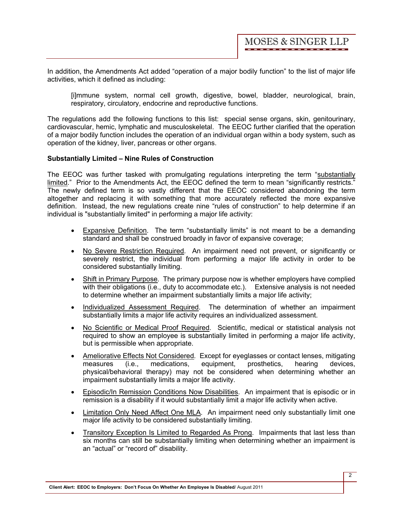In addition, the Amendments Act added "operation of a major bodily function" to the list of major life activities, which it defined as including:

[i]mmune system, normal cell growth, digestive, bowel, bladder, neurological, brain, respiratory, circulatory, endocrine and reproductive functions.

The regulations add the following functions to this list: special sense organs, skin, genitourinary, cardiovascular, hemic, lymphatic and musculoskeletal. The EEOC further clarified that the operation of a major bodily function includes the operation of an individual organ within a body system, such as operation of the kidney, liver, pancreas or other organs.

# **Substantially Limited – Nine Rules of Construction**

The EEOC was further tasked with promulgating regulations interpreting the term "substantially limited." Prior to the Amendments Act, the EEOC defined the term to mean "significantly restricts." The newly defined term is so vastly different that the EEOC considered abandoning the term altogether and replacing it with something that more accurately reflected the more expansive definition. Instead, the new regulations create nine "rules of construction" to help determine if an individual is "substantially limited" in performing a major life activity:

- · Expansive Definition. The term "substantially limits" is not meant to be a demanding standard and shall be construed broadly in favor of expansive coverage;
- · No Severe Restriction Required. An impairment need not prevent, or significantly or severely restrict, the individual from performing a major life activity in order to be considered substantially limiting.
- Shift in Primary Purpose. The primary purpose now is whether employers have complied with their obligations (i.e., duty to accommodate etc.). Extensive analysis is not needed to determine whether an impairment substantially limits a major life activity;
- · Individualized Assessment Required. The determination of whether an impairment substantially limits a major life activity requires an individualized assessment.
- · No Scientific or Medical Proof Required. Scientific, medical or statistical analysis not required to show an employee is substantially limited in performing a major life activity, but is permissible when appropriate.
- Ameliorative Effects Not Considered. Except for eyeglasses or contact lenses, mitigating neasures (i.e., medications, equipment, prosthetics. hearing devices. measures (i.e., medications, equipment, prosthetics, hearing devices, physical/behavioral therapy) may not be considered when determining whether an impairment substantially limits a major life activity.
- · Episodic/In Remission Conditions Now Disabilities. An impairment that is episodic or in remission is a disability if it would substantially limit a major life activity when active.
- Limitation Only Need Affect One MLA. An impairment need only substantially limit one major life activity to be considered substantially limiting.
- · Transitory Exception Is Limited to Regarded As Prong. Impairments that last less than six months can still be substantially limiting when determining whether an impairment is an "actual" or "record of" disability.

**Client Alert: EEOC to Employers: Don't Focus On Whether An Employee Is Disabled**/ August 2011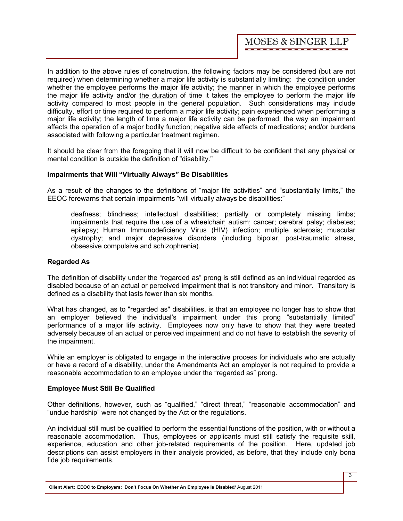In addition to the above rules of construction, the following factors may be considered (but are not required) when determining whether a major life activity is substantially limiting: the condition under whether the employee performs the major life activity; the manner in which the employee performs the major life activity and/or the duration of time it takes the employee to perform the major life activity compared to most people in the general population. Such considerations may include difficulty, effort or time required to perform a major life activity; pain experienced when performing a major life activity; the length of time a major life activity can be performed; the way an impairment affects the operation of a major bodily function; negative side effects of medications; and/or burdens associated with following a particular treatment regimen.

It should be clear from the foregoing that it will now be difficult to be confident that any physical or mental condition is outside the definition of "disability."

# **Impairments that Will "Virtually Always" Be Disabilities**

As a result of the changes to the definitions of "major life activities" and "substantially limits," the EEOC forewarns that certain impairments "will virtually always be disabilities:"

deafness; blindness; intellectual disabilities; partially or completely missing limbs; impairments that require the use of a wheelchair; autism; cancer; cerebral palsy; diabetes; epilepsy; Human Immunodeficiency Virus (HIV) infection; multiple sclerosis; muscular dystrophy; and major depressive disorders (including bipolar, post-traumatic stress, obsessive compulsive and schizophrenia).

# **Regarded As**

The definition of disability under the "regarded as" prong is still defined as an individual regarded as disabled because of an actual or perceived impairment that is not transitory and minor. Transitory is defined as a disability that lasts fewer than six months.

What has changed, as to "regarded as" disabilities, is that an employee no longer has to show that an employer believed the individual's impairment under this prong "substantially limited" performance of a major life activity. Employees now only have to show that they were treated adversely because of an actual or perceived impairment and do not have to establish the severity of the impairment.

While an employer is obligated to engage in the interactive process for individuals who are actually or have a record of a disability, under the Amendments Act an employer is not required to provide a reasonable accommodation to an employee under the "regarded as" prong.

# **Employee Must Still Be Qualified**

Other definitions, however, such as "qualified," "direct threat," "reasonable accommodation" and "undue hardship" were not changed by the Act or the regulations.

An individual still must be qualified to perform the essential functions of the position, with or without a reasonable accommodation. Thus, employees or applicants must still satisfy the requisite skill, experience, education and other job-related requirements of the position. Here, updated job descriptions can assist employers in their analysis provided, as before, that they include only bona fide job requirements.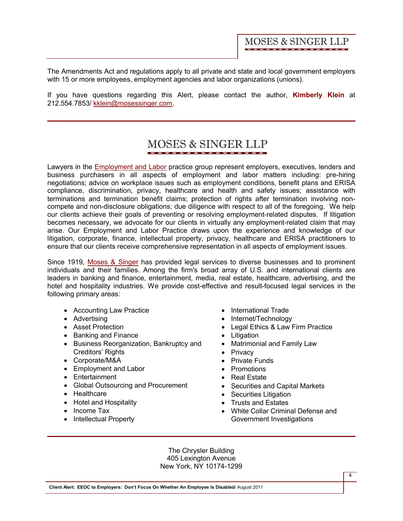The Amendments Act and regulations apply to all private and state and local government employers with 15 or more employees, employment agencies and labor organizations (unions).

If you have questions regarding this Alert, please contact the author, **[Kimberly Klein](http://www.mosessinger.com/personnel/kklein/)** at 212.554.7853/ kklein@mosessinger.com.

#### MOSES & SINGER LLP

Lawyers in the [Employment and Labor](http://www.mosessinger.com/EmploymentandLabor/) practice group represent employers, executives, lenders and business purchasers in all aspects of employment and labor matters including: pre-hiring negotiations; advice on workplace issues such as employment conditions, benefit plans and ERISA compliance, discrimination, privacy, healthcare and health and safety issues; assistance with terminations and termination benefit claims; protection of rights after termination involving noncompete and non-disclosure obligations; due diligence with respect to all of the foregoing. We help our clients achieve their goals of preventing or resolving employment-related disputes. If litigation becomes necessary, we advocate for our clients in virtually any employment-related claim that may arise. Our Employment and Labor Practice draws upon the experience and knowledge of our litigation, corporate, finance, intellectual property, privacy, healthcare and ERISA practitioners to ensure that our clients receive comprehensive representation in all aspects of employment issues.

Since 1919, [Moses & Singer](http://www.mosessinger.com/firm_profile/firm_description.php) has provided legal services to diverse businesses and to prominent individuals and their families. Among the firm's broad array of U.S. and international clients are leaders in banking and finance, entertainment, media, real estate, healthcare, advertising, and the hotel and hospitality industries. We provide cost-effective and result-focused legal services in the following primary areas:

- Accounting Law Practice
- · Advertising
- · Asset Protection
- · Banking and Finance
- · Business Reorganization, Bankruptcy and Creditors' Rights
- · Corporate/M&A
- · Employment and Labor
- · Entertainment
- · Global Outsourcing and Procurement
- · Healthcare
- Hotel and Hospitality
- Income Tax
- Intellectual Property
- · International Trade
- Internet/Technology
- · Legal Ethics & Law Firm Practice
- · Litigation
- · Matrimonial and Family Law
- Privacy
- · Private Funds
- · Promotions
- · Real Estate
- · Securities and Capital Markets
- Securities Litigation
- · Trusts and Estates
- · White Collar Criminal Defense and Government Investigations

The Chrysler Building 405 Lexington Avenue New York, NY 10174-1299